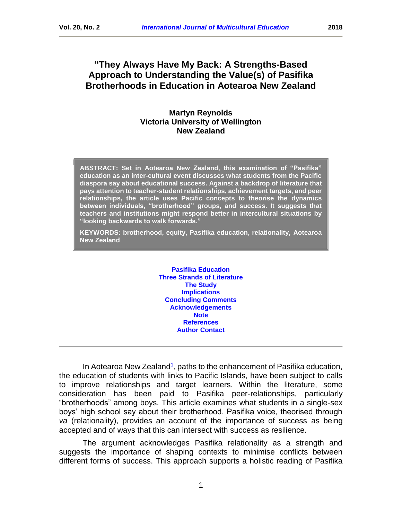# **"They Always Have My Back: A Strengths-Based Approach to Understanding the Value(s) of Pasifika Brotherhoods in Education in Aotearoa New Zealand**

# **Martyn Reynolds Victoria University of Wellington New Zealand**

**ABSTRACT: Set in Aotearoa New Zealand, this examination of "Pasifika" education as an inter-cultural event discusses what students from the Pacific diaspora say about educational success. Against a backdrop of literature that pays attention to teacher-student relationships, achievement targets, and peer relationships, the article uses Pacific concepts to theorise the dynamics between individuals, "brotherhood" groups, and success. It suggests that teachers and institutions might respond better in intercultural situations by "looking backwards to walk forwards."**

**KEYWORDS: brotherhood, equity, Pasifika education, relationality, Aotearoa New Zealand**

> **[Pasifika Education](#page-1-0) [Three Strands of Literature](#page-2-0) [The Study](#page-5-0) [Implications](#page-14-0) [Concluding Comments](#page-15-0) [Acknowledgements](#page-16-0) [Note](#page-16-1) [References](#page-16-2) [Author Contact](#page-22-0)**

In Aotearoa New Zealand<sup>[1](#page-16-1)</sup>, paths to the enhancement of Pasifika education, the education of students with links to Pacific Islands, have been subject to calls to improve relationships and target learners. Within the literature, some consideration has been paid to Pasifika peer-relationships, particularly "brotherhoods" among boys. This article examines what students in a single-sex boys' high school say about their brotherhood. Pasifika voice, theorised through *va* (relationality), provides an account of the importance of success as being accepted and of ways that this can intersect with success as resilience.

The argument acknowledges Pasifika relationality as a strength and suggests the importance of shaping contexts to minimise conflicts between different forms of success. This approach supports a holistic reading of Pasifika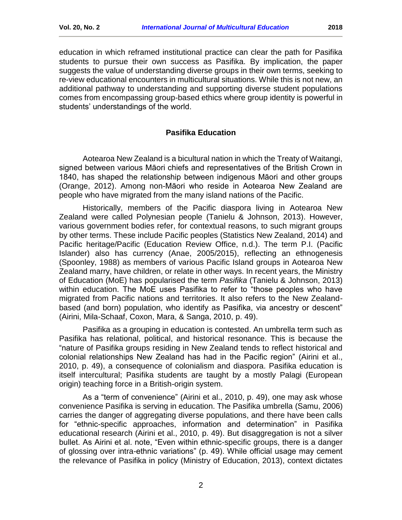education in which reframed institutional practice can clear the path for Pasifika students to pursue their own success as Pasifika. By implication, the paper suggests the value of understanding diverse groups in their own terms, seeking to re-view educational encounters in multicultural situations. While this is not new, an additional pathway to understanding and supporting diverse student populations comes from encompassing group-based ethics where group identity is powerful in students' understandings of the world.

## **Pasifika Education**

<span id="page-1-0"></span>Aotearoa New Zealand is a bicultural nation in which the Treaty of Waitangi, signed between various Māori chiefs and representatives of the British Crown in 1840, has shaped the relationship between indigenous Māori and other groups (Orange, 2012). Among non-Māori who reside in Aotearoa New Zealand are people who have migrated from the many island nations of the Pacific.

Historically, members of the Pacific diaspora living in Aotearoa New Zealand were called Polynesian people (Tanielu & Johnson, 2013). However, various government bodies refer, for contextual reasons, to such migrant groups by other terms. These include Pacific peoples (Statistics New Zealand, 2014) and Pacific heritage/Pacific (Education Review Office, n.d.). The term P.I. (Pacific Islander) also has currency (Anae, 2005/2015), reflecting an ethnogenesis (Spoonley, 1988) as members of various Pacific Island groups in Aotearoa New Zealand marry, have children, or relate in other ways. In recent years, the Ministry of Education (MoE) has popularised the term *Pasifika* (Tanielu & Johnson, 2013) within education. The MoE uses Pasifika to refer to "those peoples who have migrated from Pacific nations and territories. It also refers to the New Zealandbased (and born) population, who identify as Pasifika, via ancestry or descent" (Airini, Mila-Schaaf, Coxon, Mara, & Sanga, 2010, p. 49).

Pasifika as a grouping in education is contested. An umbrella term such as Pasifika has relational, political, and historical resonance. This is because the "nature of Pasifika groups residing in New Zealand tends to reflect historical and colonial relationships New Zealand has had in the Pacific region" (Airini et al., 2010, p. 49), a consequence of colonialism and diaspora. Pasifika education is itself intercultural; Pasifika students are taught by a mostly Palagi (European origin) teaching force in a British-origin system.

As a "term of convenience" (Airini et al., 2010, p. 49), one may ask whose convenience Pasifika is serving in education. The Pasifika umbrella (Samu, 2006) carries the danger of aggregating diverse populations, and there have been calls for "ethnic-specific approaches, information and determination" in Pasifika educational research (Airini et al., 2010, p. 49). But disaggregation is not a silver bullet. As Airini et al. note, "Even within ethnic-specific groups, there is a danger of glossing over intra-ethnic variations" (p. 49). While official usage may cement the relevance of Pasifika in policy (Ministry of Education, 2013), context dictates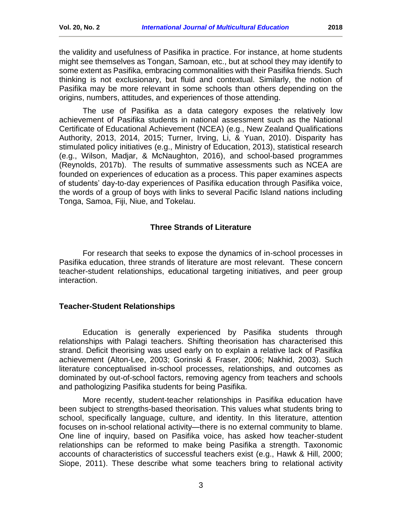the validity and usefulness of Pasifika in practice. For instance, at home students might see themselves as Tongan, Samoan, etc., but at school they may identify to some extent as Pasifika, embracing commonalities with their Pasifika friends. Such thinking is not exclusionary, but fluid and contextual. Similarly, the notion of Pasifika may be more relevant in some schools than others depending on the origins, numbers, attitudes, and experiences of those attending.

The use of Pasifika as a data category exposes the relatively low achievement of Pasifika students in national assessment such as the National Certificate of Educational Achievement (NCEA) (e.g., New Zealand Qualifications Authority, 2013, 2014, 2015; Turner, Irving, Li, & Yuan, 2010). Disparity has stimulated policy initiatives (e.g., Ministry of Education, 2013), statistical research (e.g., Wilson, Madjar, & McNaughton, 2016), and school-based programmes (Reynolds, 2017b). The results of summative assessments such as NCEA are founded on experiences of education as a process. This paper examines aspects of students' day-to-day experiences of Pasifika education through Pasifika voice, the words of a group of boys with links to several Pacific Island nations including Tonga, Samoa, Fiji, Niue, and Tokelau.

# **Three Strands of Literature**

<span id="page-2-0"></span>For research that seeks to expose the dynamics of in-school processes in Pasifika education, three strands of literature are most relevant. These concern teacher-student relationships, educational targeting initiatives, and peer group interaction.

#### **Teacher-Student Relationships**

Education is generally experienced by Pasifika students through relationships with Palagi teachers. Shifting theorisation has characterised this strand. Deficit theorising was used early on to explain a relative lack of Pasifika achievement (Alton-Lee, 2003; Gorinski & Fraser, 2006; Nakhid, 2003). Such literature conceptualised in-school processes, relationships, and outcomes as dominated by out-of-school factors, removing agency from teachers and schools and pathologizing Pasifika students for being Pasifika.

More recently, student-teacher relationships in Pasifika education have been subject to strengths-based theorisation. This values what students bring to school, specifically language, culture, and identity. In this literature, attention focuses on in-school relational activity—there is no external community to blame. One line of inquiry, based on Pasifika voice, has asked how teacher-student relationships can be reformed to make being Pasifika a strength. Taxonomic accounts of characteristics of successful teachers exist (e.g., Hawk & Hill, 2000; Siope, 2011). These describe what some teachers bring to relational activity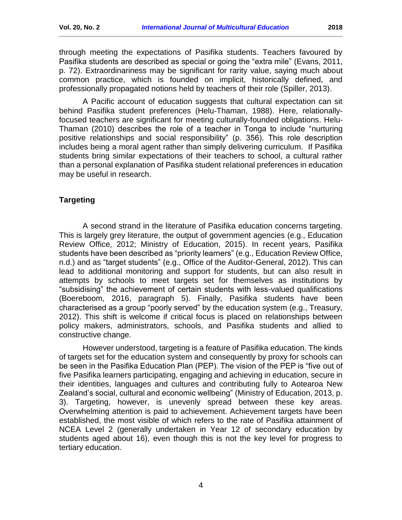through meeting the expectations of Pasifika students. Teachers favoured by Pasifika students are described as special or going the "extra mile" (Evans, 2011, p. 72). Extraordinariness may be significant for rarity value, saying much about common practice, which is founded on implicit, historically defined, and professionally propagated notions held by teachers of their role (Spiller, 2013).

A Pacific account of education suggests that cultural expectation can sit behind Pasifika student preferences (Helu-Thaman, 1988). Here, relationallyfocused teachers are significant for meeting culturally-founded obligations. Helu-Thaman (2010) describes the role of a teacher in Tonga to include "nurturing positive relationships and social responsibility" (p. 356). This role description includes being a moral agent rather than simply delivering curriculum. If Pasifika students bring similar expectations of their teachers to school, a cultural rather than a personal explanation of Pasifika student relational preferences in education may be useful in research.

# **Targeting**

A second strand in the literature of Pasifika education concerns targeting. This is largely grey literature, the output of government agencies (e.g., Education Review Office, 2012; Ministry of Education, 2015). In recent years, Pasifika students have been described as "priority learners" (e.g., Education Review Office, n.d.) and as "target students" (e.g., Office of the Auditor-General, 2012). This can lead to additional monitoring and support for students, but can also result in attempts by schools to meet targets set for themselves as institutions by "subsidising" the achievement of certain students with less-valued qualifications (Boereboom, 2016, paragraph 5). Finally, Pasifika students have been characterised as a group "poorly served" by the education system (e.g., Treasury, 2012). This shift is welcome if critical focus is placed on relationships between policy makers, administrators, schools, and Pasifika students and allied to constructive change.

However understood, targeting is a feature of Pasifika education. The kinds of targets set for the education system and consequently by proxy for schools can be seen in the Pasifika Education Plan (PEP). The vision of the PEP is "five out of five Pasifika learners participating, engaging and achieving in education, secure in their identities, languages and cultures and contributing fully to Aotearoa New Zealand's social, cultural and economic wellbeing" (Ministry of Education, 2013, p. 3). Targeting, however, is unevenly spread between these key areas. Overwhelming attention is paid to achievement. Achievement targets have been established, the most visible of which refers to the rate of Pasifika attainment of NCEA Level 2 (generally undertaken in Year 12 of secondary education by students aged about 16), even though this is not the key level for progress to tertiary education.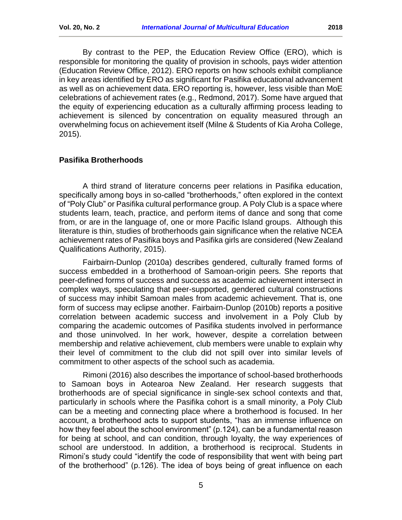By contrast to the PEP, the Education Review Office (ERO), which is responsible for monitoring the quality of provision in schools, pays wider attention (Education Review Office, 2012). ERO reports on how schools exhibit compliance in key areas identified by ERO as significant for Pasifika educational advancement as well as on achievement data. ERO reporting is, however, less visible than MoE celebrations of achievement rates (e.g., Redmond, 2017). Some have argued that the equity of experiencing education as a culturally affirming process leading to achievement is silenced by concentration on equality measured through an overwhelming focus on achievement itself (Milne & Students of Kia Aroha College, 2015).

## **Pasifika Brotherhoods**

A third strand of literature concerns peer relations in Pasifika education, specifically among boys in so-called "brotherhoods," often explored in the context of "Poly Club" or Pasifika cultural performance group. A Poly Club is a space where students learn, teach, practice, and perform items of dance and song that come from, or are in the language of, one or more Pacific Island groups. Although this literature is thin, studies of brotherhoods gain significance when the relative NCEA achievement rates of Pasifika boys and Pasifika girls are considered (New Zealand Qualifications Authority, 2015).

Fairbairn-Dunlop (2010a) describes gendered, culturally framed forms of success embedded in a brotherhood of Samoan-origin peers. She reports that peer-defined forms of success and success as academic achievement intersect in complex ways, speculating that peer-supported, gendered cultural constructions of success may inhibit Samoan males from academic achievement. That is, one form of success may eclipse another. Fairbairn-Dunlop (2010b) reports a positive correlation between academic success and involvement in a Poly Club by comparing the academic outcomes of Pasifika students involved in performance and those uninvolved. In her work, however, despite a correlation between membership and relative achievement, club members were unable to explain why their level of commitment to the club did not spill over into similar levels of commitment to other aspects of the school such as academia.

Rimoni (2016) also describes the importance of school-based brotherhoods to Samoan boys in Aotearoa New Zealand. Her research suggests that brotherhoods are of special significance in single-sex school contexts and that, particularly in schools where the Pasifika cohort is a small minority, a Poly Club can be a meeting and connecting place where a brotherhood is focused. In her account, a brotherhood acts to support students, "has an immense influence on how they feel about the school environment" (p.124), can be a fundamental reason for being at school, and can condition, through loyalty, the way experiences of school are understood. In addition, a brotherhood is reciprocal. Students in Rimoni's study could "identify the code of responsibility that went with being part of the brotherhood" (p.126). The idea of boys being of great influence on each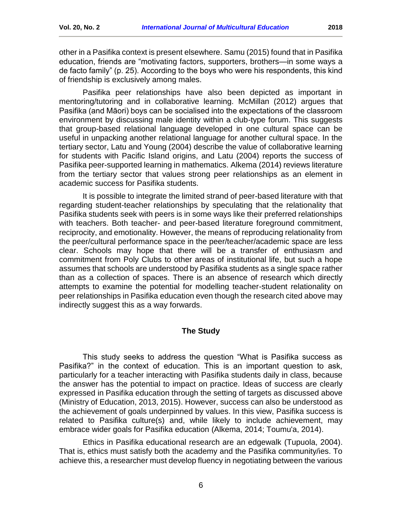other in a Pasifika context is present elsewhere. Samu (2015) found that in Pasifika education, friends are "motivating factors, supporters, brothers—in some ways a de facto family" (p. 25). According to the boys who were his respondents, this kind of friendship is exclusively among males.

Pasifika peer relationships have also been depicted as important in mentoring/tutoring and in collaborative learning. McMillan (2012) argues that Pasifika (and Māori) boys can be socialised into the expectations of the classroom environment by discussing male identity within a club-type forum. This suggests that group-based relational language developed in one cultural space can be useful in unpacking another relational language for another cultural space. In the tertiary sector, Latu and Young (2004) describe the value of collaborative learning for students with Pacific Island origins, and Latu (2004) reports the success of Pasifika peer-supported learning in mathematics. Alkema (2014) reviews literature from the tertiary sector that values strong peer relationships as an element in academic success for Pasifika students.

It is possible to integrate the limited strand of peer-based literature with that regarding student-teacher relationships by speculating that the relationality that Pasifika students seek with peers is in some ways like their preferred relationships with teachers. Both teacher- and peer-based literature foreground commitment, reciprocity, and emotionality. However, the means of reproducing relationality from the peer/cultural performance space in the peer/teacher/academic space are less clear. Schools may hope that there will be a transfer of enthusiasm and commitment from Poly Clubs to other areas of institutional life, but such a hope assumes that schools are understood by Pasifika students as a single space rather than as a collection of spaces. There is an absence of research which directly attempts to examine the potential for modelling teacher-student relationality on peer relationships in Pasifika education even though the research cited above may indirectly suggest this as a way forwards.

## **The Study**

<span id="page-5-0"></span>This study seeks to address the question "What is Pasifika success as Pasifika?" in the context of education. This is an important question to ask, particularly for a teacher interacting with Pasifika students daily in class, because the answer has the potential to impact on practice. Ideas of success are clearly expressed in Pasifika education through the setting of targets as discussed above (Ministry of Education, 2013, 2015). However, success can also be understood as the achievement of goals underpinned by values. In this view, Pasifika success is related to Pasifika culture(s) and, while likely to include achievement, may embrace wider goals for Pasifika education (Alkema, 2014; Toumu'a, 2014).

Ethics in Pasifika educational research are an edgewalk (Tupuola, 2004). That is, ethics must satisfy both the academy and the Pasifika community/ies. To achieve this, a researcher must develop fluency in negotiating between the various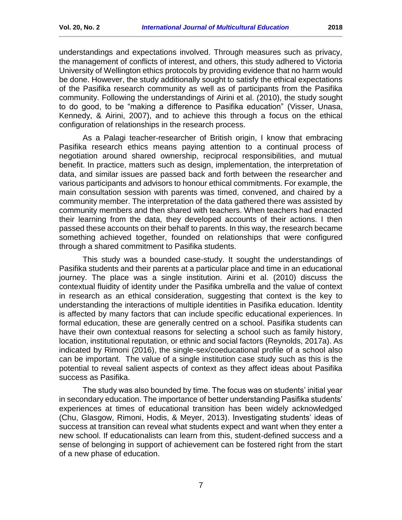understandings and expectations involved. Through measures such as privacy, the management of conflicts of interest, and others, this study adhered to Victoria University of Wellington ethics protocols by providing evidence that no harm would be done. However, the study additionally sought to satisfy the ethical expectations of the Pasifika research community as well as of participants from the Pasifika community. Following the understandings of Airini et al. (2010), the study sought to do good, to be "making a difference to Pasifika education" (Visser, Unasa, Kennedy, & Airini, 2007), and to achieve this through a focus on the ethical configuration of relationships in the research process.

As a Palagi teacher-researcher of British origin, I know that embracing Pasifika research ethics means paying attention to a continual process of negotiation around shared ownership, reciprocal responsibilities, and mutual benefit. In practice, matters such as design, implementation, the interpretation of data, and similar issues are passed back and forth between the researcher and various participants and advisors to honour ethical commitments. For example, the main consultation session with parents was timed, convened, and chaired by a community member. The interpretation of the data gathered there was assisted by community members and then shared with teachers. When teachers had enacted their learning from the data, they developed accounts of their actions. I then passed these accounts on their behalf to parents. In this way, the research became something achieved together, founded on relationships that were configured through a shared commitment to Pasifika students.

This study was a bounded case-study. It sought the understandings of Pasifika students and their parents at a particular place and time in an educational journey. The place was a single institution. Airini et al. (2010) discuss the contextual fluidity of identity under the Pasifika umbrella and the value of context in research as an ethical consideration, suggesting that context is the key to understanding the interactions of multiple identities in Pasifika education. Identity is affected by many factors that can include specific educational experiences. In formal education, these are generally centred on a school. Pasifika students can have their own contextual reasons for selecting a school such as family history, location, institutional reputation, or ethnic and social factors (Reynolds, 2017a). As indicated by Rimoni (2016), the single-sex/coeducational profile of a school also can be important. The value of a single institution case study such as this is the potential to reveal salient aspects of context as they affect ideas about Pasifika success as Pasifika.

The study was also bounded by time. The focus was on students' initial year in secondary education. The importance of better understanding Pasifika students' experiences at times of educational transition has been widely acknowledged (Chu, Glasgow, Rimoni, Hodis, & Meyer, 2013). Investigating students' ideas of success at transition can reveal what students expect and want when they enter a new school. If educationalists can learn from this, student-defined success and a sense of belonging in support of achievement can be fostered right from the start of a new phase of education.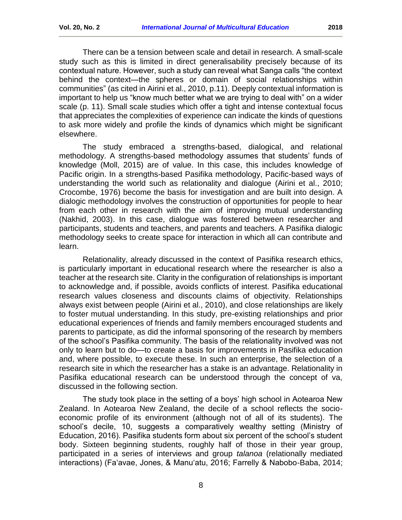There can be a tension between scale and detail in research. A small-scale study such as this is limited in direct generalisability precisely because of its contextual nature. However, such a study can reveal what Sanga calls "the context behind the context—the spheres or domain of social relationships within communities" (as cited in Airini et al., 2010, p.11). Deeply contextual information is important to help us "know much better what we are trying to deal with" on a wider scale (p. 11). Small scale studies which offer a tight and intense contextual focus that appreciates the complexities of experience can indicate the kinds of questions to ask more widely and profile the kinds of dynamics which might be significant elsewhere.

The study embraced a strengths-based, dialogical, and relational methodology. A strengths-based methodology assumes that students' funds of knowledge (Moll, 2015) are of value. In this case, this includes knowledge of Pacific origin. In a strengths-based Pasifika methodology, Pacific-based ways of understanding the world such as relationality and dialogue (Airini et al., 2010; Crocombe, 1976) become the basis for investigation and are built into design. A dialogic methodology involves the construction of opportunities for people to hear from each other in research with the aim of improving mutual understanding (Nakhid, 2003). In this case, dialogue was fostered between researcher and participants, students and teachers, and parents and teachers. A Pasifika dialogic methodology seeks to create space for interaction in which all can contribute and learn.

Relationality, already discussed in the context of Pasifika research ethics, is particularly important in educational research where the researcher is also a teacher at the research site. Clarity in the configuration of relationships is important to acknowledge and, if possible, avoids conflicts of interest. Pasifika educational research values closeness and discounts claims of objectivity. Relationships always exist between people (Airini et al., 2010), and close relationships are likely to foster mutual understanding. In this study, pre-existing relationships and prior educational experiences of friends and family members encouraged students and parents to participate, as did the informal sponsoring of the research by members of the school's Pasifika community. The basis of the relationality involved was not only to learn but to do—to create a basis for improvements in Pasifika education and, where possible, to execute these. In such an enterprise, the selection of a research site in which the researcher has a stake is an advantage. Relationality in Pasifika educational research can be understood through the concept of va, discussed in the following section.

The study took place in the setting of a boys' high school in Aotearoa New Zealand. In Aotearoa New Zealand, the decile of a school reflects the socioeconomic profile of its environment (although not of all of its students). The school's decile, 10, suggests a comparatively wealthy setting (Ministry of Education, 2016). Pasifika students form about six percent of the school's student body. Sixteen beginning students, roughly half of those in their year group, participated in a series of interviews and group *talanoa* (relationally mediated interactions) (Fa'avae, Jones, & Manu'atu, 2016; Farrelly & Nabobo-Baba, 2014;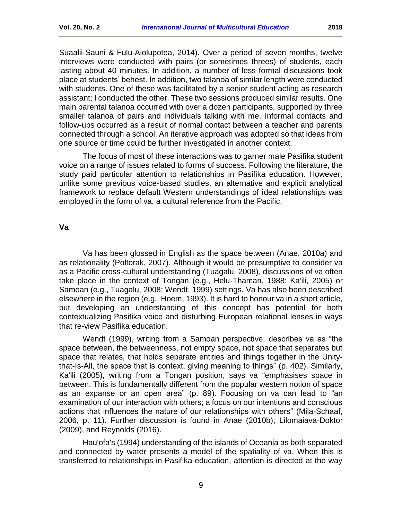Suaalii‐Sauni & Fulu‐Aiolupotea, 2014). Over a period of seven months, twelve interviews were conducted with pairs (or sometimes threes) of students, each lasting about 40 minutes. In addition, a number of less formal discussions took place at students' behest. In addition, two talanoa of similar length were conducted with students. One of these was facilitated by a senior student acting as research assistant; I conducted the other. These two sessions produced similar results. One main parental talanoa occurred with over a dozen participants, supported by three smaller talanoa of pairs and individuals talking with me. Informal contacts and follow-ups occurred as a result of normal contact between a teacher and parents connected through a school. An iterative approach was adopted so that ideas from one source or time could be further investigated in another context.

The focus of most of these interactions was to garner male Pasifika student voice on a range of issues related to forms of success. Following the literature, the study paid particular attention to relationships in Pasifika education. However, unlike some previous voice-based studies, an alternative and explicit analytical framework to replace default Western understandings of ideal relationships was employed in the form of va, a cultural reference from the Pacific.

#### **Va**

Va has been glossed in English as the space between (Anae, 2010a) and as relationality (Poltorak, 2007). Although it would be presumptive to consider va as a Pacific cross-cultural understanding (Tuagalu, 2008), discussions of va often take place in the context of Tongan (e.g., Helu-Thaman, 1988; Ka'ili, 2005) or Samoan (e.g., Tuagalu, 2008; Wendt, 1999) settings. Va has also been described elsewhere in the region (e.g., Hoem, 1993). It is hard to honour va in a short article, but developing an understanding of this concept has potential for both contextualizing Pasifika voice and disturbing European relational lenses in ways that re-view Pasifika education.

Wendt (1999), writing from a Samoan perspective, describes va as "the space between, the betweenness, not empty space, not space that separates but space that relates, that holds separate entities and things together in the Unitythat-Is-All, the space that is context, giving meaning to things" (p. 402). Similarly, Ka'ili (2005), writing from a Tongan position, says va "emphasises space in between. This is fundamentally different from the popular western notion of space as an expanse or an open area" (p. 89). Focusing on va can lead to "an examination of our interaction with others; a focus on our intentions and conscious actions that influences the nature of our relationships with others" (Mila-Schaaf, 2006, p. 11). Further discussion is found in Anae (2010b), Lilomaiava-Doktor (2009), and Reynolds (2016).

Hau'ofa's (1994) understanding of the islands of Oceania as both separated and connected by water presents a model of the spatiality of va. When this is transferred to relationships in Pasifika education, attention is directed at the way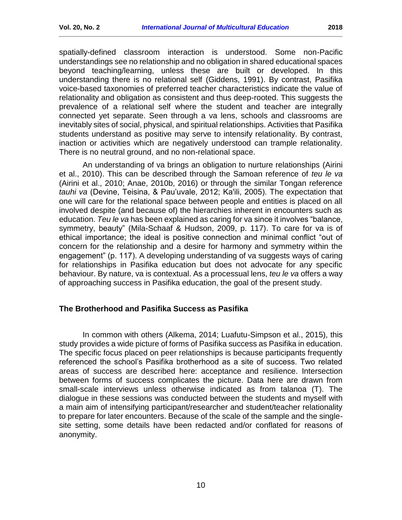spatially-defined classroom interaction is understood. Some non-Pacific understandings see no relationship and no obligation in shared educational spaces beyond teaching/learning, unless these are built or developed. In this understanding there is no relational self (Giddens, 1991). By contrast, Pasifika voice-based taxonomies of preferred teacher characteristics indicate the value of relationality and obligation as consistent and thus deep-rooted. This suggests the prevalence of a relational self where the student and teacher are integrally connected yet separate. Seen through a va lens, schools and classrooms are inevitably sites of social, physical, and spiritual relationships. Activities that Pasifika students understand as positive may serve to intensify relationality. By contrast, inaction or activities which are negatively understood can trample relationality. There is no neutral ground, and no non-relational space.

An understanding of va brings an obligation to nurture relationships (Airini et al., 2010). This can be described through the Samoan reference of *teu le va* (Airini et al., 2010; Anae, 2010b, 2016) or through the similar Tongan reference *tauhi va* (Devine, Teisina, & Pau'uvale, 2012; Ka'ili, 2005). The expectation that one will care for the relational space between people and entities is placed on all involved despite (and because of) the hierarchies inherent in encounters such as education. *Teu le va* has been explained as caring for va since it involves "balance, symmetry, beauty" (Mila-Schaaf & Hudson, 2009, p. 117). To care for va is of ethical importance; the ideal is positive connection and minimal conflict "out of concern for the relationship and a desire for harmony and symmetry within the engagement" (p. 117). A developing understanding of va suggests ways of caring for relationships in Pasifika education but does not advocate for any specific behaviour. By nature, va is contextual. As a processual lens, *teu le va* offers a way of approaching success in Pasifika education, the goal of the present study.

# **The Brotherhood and Pasifika Success as Pasifika**

In common with others (Alkema, 2014; Luafutu-Simpson et al., 2015), this study provides a wide picture of forms of Pasifika success as Pasifika in education. The specific focus placed on peer relationships is because participants frequently referenced the school's Pasifika brotherhood as a site of success. Two related areas of success are described here: acceptance and resilience. Intersection between forms of success complicates the picture. Data here are drawn from small-scale interviews unless otherwise indicated as from talanoa (T). The dialogue in these sessions was conducted between the students and myself with a main aim of intensifying participant/researcher and student/teacher relationality to prepare for later encounters. Because of the scale of the sample and the singlesite setting, some details have been redacted and/or conflated for reasons of anonymity.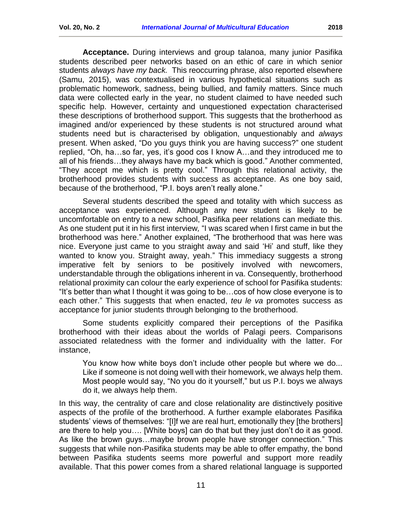**Acceptance.** During interviews and group talanoa, many junior Pasifika students described peer networks based on an ethic of care in which senior students *always have my back.* This reoccurring phrase, also reported elsewhere (Samu, 2015), was contextualised in various hypothetical situations such as problematic homework, sadness, being bullied, and family matters. Since much data were collected early in the year, no student claimed to have needed such specific help. However, certainty and unquestioned expectation characterised these descriptions of brotherhood support. This suggests that the brotherhood as imagined and/or experienced by these students is not structured around what students need but is characterised by obligation, unquestionably and *always* present. When asked, "Do you guys think you are having success?" one student replied, "Oh, ha…so far, yes, it's good cos I know A…and they introduced me to all of his friends…they always have my back which is good." Another commented, "They accept me which is pretty cool." Through this relational activity, the brotherhood provides students with success as acceptance. As one boy said, because of the brotherhood, "P.I. boys aren't really alone."

Several students described the speed and totality with which success as acceptance was experienced. Although any new student is likely to be uncomfortable on entry to a new school, Pasifika peer relations can mediate this. As one student put it in his first interview*,* "I was scared when I first came in but the brotherhood was here." Another explained, "The brotherhood that was here was nice. Everyone just came to you straight away and said 'Hi' and stuff, like they wanted to know you. Straight away, yeah." This immediacy suggests a strong imperative felt by seniors to be positively involved with newcomers, understandable through the obligations inherent in va. Consequently, brotherhood relational proximity can colour the early experience of school for Pasifika students: "It's better than what I thought it was going to be…cos of how close everyone is to each other." This suggests that when enacted, *teu le va* promotes success as acceptance for junior students through belonging to the brotherhood.

Some students explicitly compared their perceptions of the Pasifika brotherhood with their ideas about the worlds of Palagi peers. Comparisons associated relatedness with the former and individuality with the latter. For instance,

You know how white boys don't include other people but where we do... Like if someone is not doing well with their homework, we always help them. Most people would say, "No you do it yourself," but us P.I. boys we always do it, we always help them.

In this way, the centrality of care and close relationality are distinctively positive aspects of the profile of the brotherhood. A further example elaborates Pasifika students' views of themselves: "[I]f we are real hurt, emotionally they [the brothers] are there to help you…. [White boys] can do that but they just don't do it as good. As like the brown guys…maybe brown people have stronger connection." This suggests that while non-Pasifika students may be able to offer empathy, the bond between Pasifika students seems more powerful and support more readily available. That this power comes from a shared relational language is supported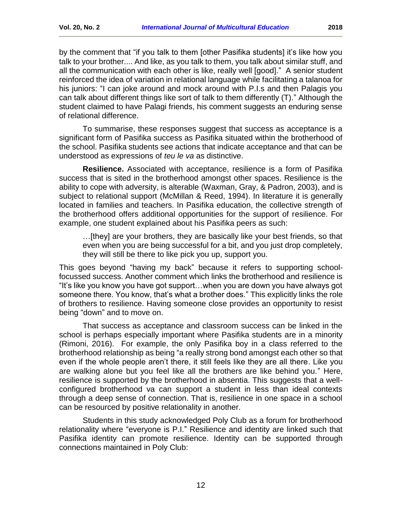by the comment that "if you talk to them [other Pasifika students] it's like how you talk to your brother.... And like, as you talk to them, you talk about similar stuff, and all the communication with each other is like, really well [good]." A senior student reinforced the idea of variation in relational language while facilitating a talanoa for his juniors: "I can joke around and mock around with P.I.s and then Palagis you can talk about different things like sort of talk to them differently (T)." Although the student claimed to have Palagi friends, his comment suggests an enduring sense of relational difference.

To summarise, these responses suggest that success as acceptance is a significant form of Pasifika success as Pasifika situated within the brotherhood of the school. Pasifika students see actions that indicate acceptance and that can be understood as expressions of *teu le va* as distinctive.

**Resilience.** Associated with acceptance, resilience is a form of Pasifika success that is sited in the brotherhood amongst other spaces. Resilience is the ability to cope with adversity, is alterable (Waxman, Gray, & Padron, 2003), and is subject to relational support (McMillan & Reed, 1994). In literature it is generally located in families and teachers. In Pasifika education, the collective strength of the brotherhood offers additional opportunities for the support of resilience. For example, one student explained about his Pasifika peers as such:

…[they] are your brothers, they are basically like your best friends, so that even when you are being successful for a bit, and you just drop completely, they will still be there to like pick you up, support you.

This goes beyond "having my back" because it refers to supporting schoolfocussed success. Another comment which links the brotherhood and resilience is "It's like you know you have got support…when you are down you have always got someone there. You know, that's what a brother does." This explicitly links the role of brothers to resilience. Having someone close provides an opportunity to resist being "down" and to move on.

That success as acceptance and classroom success can be linked in the school is perhaps especially important where Pasifika students are in a minority (Rimoni, 2016). For example, the only Pasifika boy in a class referred to the brotherhood relationship as being "a really strong bond amongst each other so that even if the whole people aren't there, it still feels like they are all there. Like you are walking alone but you feel like all the brothers are like behind you." Here, resilience is supported by the brotherhood in absentia. This suggests that a wellconfigured brotherhood va can support a student in less than ideal contexts through a deep sense of connection. That is, resilience in one space in a school can be resourced by positive relationality in another.

Students in this study acknowledged Poly Club as a forum for brotherhood relationality where "everyone is P.I." Resilience and identity are linked such that Pasifika identity can promote resilience. Identity can be supported through connections maintained in Poly Club: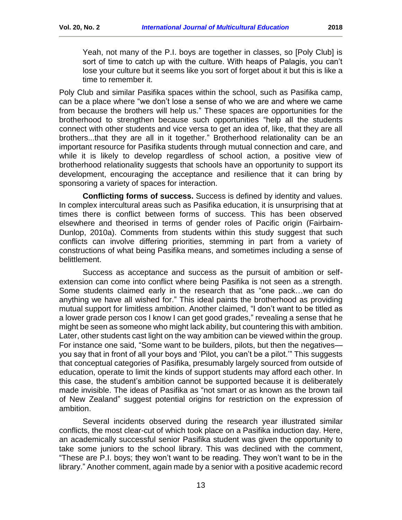Yeah, not many of the P.I. boys are together in classes, so [Poly Club] is sort of time to catch up with the culture. With heaps of Palagis, you can't lose your culture but it seems like you sort of forget about it but this is like a time to remember it.

Poly Club and similar Pasifika spaces within the school, such as Pasifika camp, can be a place where "we don't lose a sense of who we are and where we came from because the brothers will help us." These spaces are opportunities for the brotherhood to strengthen because such opportunities "help all the students connect with other students and vice versa to get an idea of, like, that they are all brothers...that they are all in it together." Brotherhood relationality can be an important resource for Pasifika students through mutual connection and care, and while it is likely to develop regardless of school action, a positive view of brotherhood relationality suggests that schools have an opportunity to support its development, encouraging the acceptance and resilience that it can bring by sponsoring a variety of spaces for interaction.

**Conflicting forms of success.** Success is defined by identity and values. In complex intercultural areas such as Pasifika education, it is unsurprising that at times there is conflict between forms of success. This has been observed elsewhere and theorised in terms of gender roles of Pacific origin (Fairbairn-Dunlop, 2010a). Comments from students within this study suggest that such conflicts can involve differing priorities, stemming in part from a variety of constructions of what being Pasifika means, and sometimes including a sense of belittlement.

Success as acceptance and success as the pursuit of ambition or selfextension can come into conflict where being Pasifika is not seen as a strength. Some students claimed early in the research that as "one pack…we can do anything we have all wished for." This ideal paints the brotherhood as providing mutual support for limitless ambition. Another claimed, "I don't want to be titled as a lower grade person cos I know I can get good grades," revealing a sense that he might be seen as someone who might lack ability, but countering this with ambition. Later, other students cast light on the way ambition can be viewed within the group. For instance one said, "Some want to be builders, pilots, but then the negatives you say that in front of all your boys and 'Pilot, you can't be a pilot.'" This suggests that conceptual categories of Pasifika, presumably largely sourced from outside of education, operate to limit the kinds of support students may afford each other. In this case, the student's ambition cannot be supported because it is deliberately made invisible. The ideas of Pasifika as "not smart or as known as the brown tail of New Zealand" suggest potential origins for restriction on the expression of ambition.

Several incidents observed during the research year illustrated similar conflicts, the most clear-cut of which took place on a Pasifika induction day. Here, an academically successful senior Pasifika student was given the opportunity to take some juniors to the school library. This was declined with the comment, "These are P.I. boys; they won't want to be reading. They won't want to be in the library." Another comment, again made by a senior with a positive academic record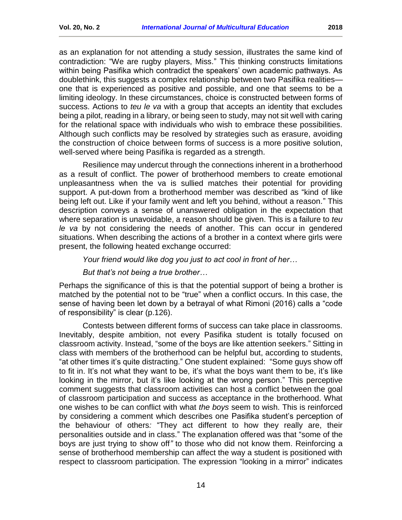as an explanation for not attending a study session, illustrates the same kind of contradiction: "We are rugby players, Miss." This thinking constructs limitations within being Pasifika which contradict the speakers' own academic pathways. As doublethink, this suggests a complex relationship between two Pasifika realities one that is experienced as positive and possible, and one that seems to be a limiting ideology. In these circumstances, choice is constructed between forms of success. Actions to *teu le va* with a group that accepts an identity that excludes being a pilot, reading in a library, or being seen to study, may not sit well with caring for the relational space with individuals who wish to embrace these possibilities. Although such conflicts may be resolved by strategies such as erasure, avoiding the construction of choice between forms of success is a more positive solution, well-served where being Pasifika is regarded as a strength.

Resilience may undercut through the connections inherent in a brotherhood as a result of conflict. The power of brotherhood members to create emotional unpleasantness when the va is sullied matches their potential for providing support. A put-down from a brotherhood member was described as "kind of like being left out. Like if your family went and left you behind, without a reason." This description conveys a sense of unanswered obligation in the expectation that where separation is unavoidable, a reason should be given. This is a failure to *teu le va* by not considering the needs of another. This can occur in gendered situations. When describing the actions of a brother in a context where girls were present, the following heated exchange occurred:

*Your friend would like dog you just to act cool in front of her…*

*But that's not being a true brother…*

Perhaps the significance of this is that the potential support of being a brother is matched by the potential not to be "true" when a conflict occurs. In this case, the sense of having been let down by a betrayal of what Rimoni (2016) calls a "code of responsibility" is clear (p.126).

Contests between different forms of success can take place in classrooms. Inevitably, despite ambition, not every Pasifika student is totally focused on classroom activity. Instead, "some of the boys are like attention seekers." Sitting in class with members of the brotherhood can be helpful but, according to students, "at other times it's quite distracting." One student explained: "Some guys show off to fit in. It's not what they want to be, it's what the boys want them to be, it's like looking in the mirror, but it's like looking at the wrong person." This perceptive comment suggests that classroom activities can host a conflict between the goal of classroom participation and success as acceptance in the brotherhood. What one wishes to be can conflict with what *the boys* seem to wish. This is reinforced by considering a comment which describes one Pasifika student's perception of the behaviour of others*:* "They act different to how they really are, their personalities outside and in class." The explanation offered was that "some of the boys are just trying to show off*"* to those who did not know them. Reinforcing a sense of brotherhood membership can affect the way a student is positioned with respect to classroom participation. The expression "looking in a mirror" indicates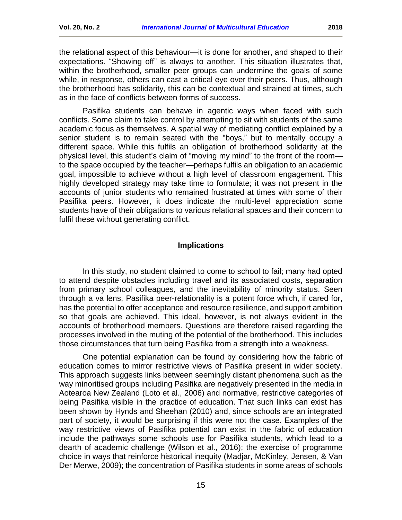Pasifika students can behave in agentic ways when faced with such conflicts. Some claim to take control by attempting to sit with students of the same academic focus as themselves. A spatial way of mediating conflict explained by a senior student is to remain seated with the "boys," but to mentally occupy a different space. While this fulfils an obligation of brotherhood solidarity at the physical level, this student's claim of "moving my mind" to the front of the room to the space occupied by the teacher—perhaps fulfils an obligation to an academic goal, impossible to achieve without a high level of classroom engagement. This highly developed strategy may take time to formulate; it was not present in the accounts of junior students who remained frustrated at times with some of their Pasifika peers. However, it does indicate the multi-level appreciation some students have of their obligations to various relational spaces and their concern to fulfil these without generating conflict.

## **Implications**

<span id="page-14-0"></span>In this study, no student claimed to come to school to fail; many had opted to attend despite obstacles including travel and its associated costs, separation from primary school colleagues, and the inevitability of minority status. Seen through a va lens, Pasifika peer-relationality is a potent force which, if cared for, has the potential to offer acceptance and resource resilience, and support ambition so that goals are achieved. This ideal, however, is not always evident in the accounts of brotherhood members. Questions are therefore raised regarding the processes involved in the muting of the potential of the brotherhood. This includes those circumstances that turn being Pasifika from a strength into a weakness.

One potential explanation can be found by considering how the fabric of education comes to mirror restrictive views of Pasifika present in wider society. This approach suggests links between seemingly distant phenomena such as the way minoritised groups including Pasifika are negatively presented in the media in Aotearoa New Zealand (Loto et al., 2006) and normative, restrictive categories of being Pasifika visible in the practice of education. That such links can exist has been shown by Hynds and Sheehan (2010) and, since schools are an integrated part of society, it would be surprising if this were not the case. Examples of the way restrictive views of Pasifika potential can exist in the fabric of education include the pathways some schools use for Pasifika students, which lead to a dearth of academic challenge (Wilson et al., 2016); the exercise of programme choice in ways that reinforce historical inequity (Madjar, McKinley, Jensen, & Van Der Merwe, 2009); the concentration of Pasifika students in some areas of schools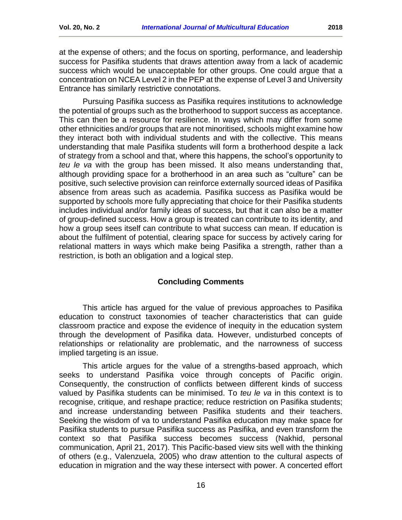at the expense of others; and the focus on sporting, performance, and leadership success for Pasifika students that draws attention away from a lack of academic success which would be unacceptable for other groups. One could argue that a concentration on NCEA Level 2 in the PEP at the expense of Level 3 and University Entrance has similarly restrictive connotations.

Pursuing Pasifika success as Pasifika requires institutions to acknowledge the potential of groups such as the brotherhood to support success as acceptance. This can then be a resource for resilience. In ways which may differ from some other ethnicities and/or groups that are not minoritised, schools might examine how they interact both with individual students and with the collective. This means understanding that male Pasifika students will form a brotherhood despite a lack of strategy from a school and that, where this happens, the school's opportunity to *teu le va* with the group has been missed. It also means understanding that, although providing space for a brotherhood in an area such as "culture" can be positive, such selective provision can reinforce externally sourced ideas of Pasifika absence from areas such as academia. Pasifika success as Pasifika would be supported by schools more fully appreciating that choice for their Pasifika students includes individual and/or family ideas of success, but that it can also be a matter of group-defined success. How a group is treated can contribute to its identity, and how a group sees itself can contribute to what success can mean. If education is about the fulfilment of potential, clearing space for success by actively caring for relational matters in ways which make being Pasifika a strength, rather than a restriction, is both an obligation and a logical step.

# **Concluding Comments**

<span id="page-15-0"></span>This article has argued for the value of previous approaches to Pasifika education to construct taxonomies of teacher characteristics that can guide classroom practice and expose the evidence of inequity in the education system through the development of Pasifika data. However, undisturbed concepts of relationships or relationality are problematic, and the narrowness of success implied targeting is an issue.

This article argues for the value of a strengths-based approach, which seeks to understand Pasifika voice through concepts of Pacific origin. Consequently, the construction of conflicts between different kinds of success valued by Pasifika students can be minimised. To *teu le va* in this context is to recognise, critique, and reshape practice; reduce restriction on Pasifika students; and increase understanding between Pasifika students and their teachers. Seeking the wisdom of va to understand Pasifika education may make space for Pasifika students to pursue Pasifika success as Pasifika, and even transform the context so that Pasifika success becomes success (Nakhid, personal communication, April 21, 2017). This Pacific-based view sits well with the thinking of others (e.g., Valenzuela, 2005) who draw attention to the cultural aspects of education in migration and the way these intersect with power. A concerted effort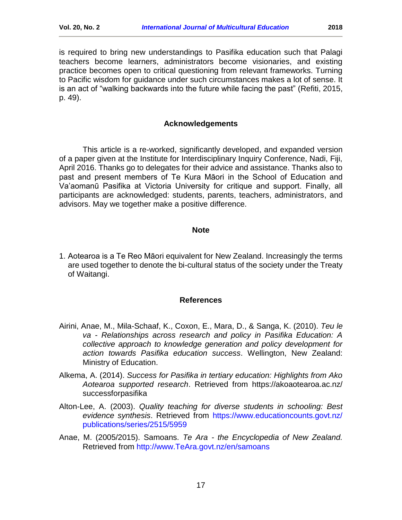is required to bring new understandings to Pasifika education such that Palagi teachers become learners, administrators become visionaries, and existing practice becomes open to critical questioning from relevant frameworks. Turning to Pacific wisdom for guidance under such circumstances makes a lot of sense. It is an act of "walking backwards into the future while facing the past" (Refiti, 2015, p. 49).

## **Acknowledgements**

<span id="page-16-0"></span>This article is a re-worked, significantly developed, and expanded version of a paper given at the Institute for Interdisciplinary Inquiry Conference, Nadi, Fiji, April 2016. Thanks go to delegates for their advice and assistance. Thanks also to past and present members of Te Kura Māori in the School of Education and Va'aomanū Pasifika at Victoria University for critique and support. Finally, all participants are acknowledged: students, parents, teachers, administrators, and advisors. May we together make a positive difference.

#### **Note**

<span id="page-16-1"></span>1. Aotearoa is a Te Reo Māori equivalent for New Zealand. Increasingly the terms are used together to denote the bi-cultural status of the society under the Treaty of Waitangi.

#### **References**

- <span id="page-16-2"></span>Airini, Anae, M., Mila-Schaaf, K., Coxon, E., Mara, D., & Sanga, K. (2010). *Teu le va - Relationships across research and policy in Pasifika Education: A collective approach to knowledge generation and policy development for action towards Pasifika education success*. Wellington, New Zealand: Ministry of Education.
- Alkema, A. (2014). *Success for Pasifika in tertiary education: Highlights from Ako Aotearoa supported research*. Retrieved from https://akoaotearoa.ac.nz/ successforpasifika
- Alton-Lee, A. (2003). *Quality teaching for diverse students in schooling: Best evidence synthesis*. Retrieved from [https://www.educationcounts.govt.nz/](https://www.educationcounts.govt.nz/publications/series/2515/5959) [publications/series/2515/5959](https://www.educationcounts.govt.nz/publications/series/2515/5959)
- Anae, M. (2005/2015). Samoans. *Te Ara - the Encyclopedia of New Zealand.* Retrieved from [http://www.TeAra.govt.nz/en/samoans](http://www.teara.govt.nz/en/samoans)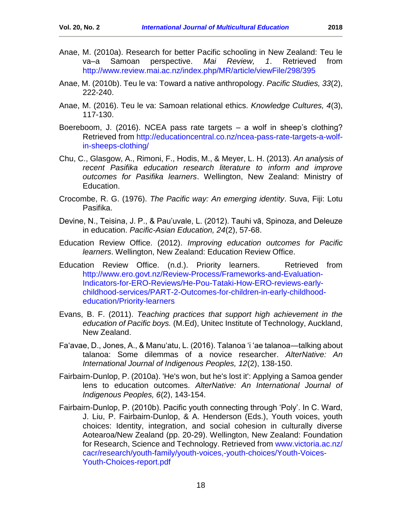- Anae, M. (2010a). Research for better Pacific schooling in New Zealand: Teu le va–a Samoan perspective. *Mai Review, 1*. Retrieved from <http://www.review.mai.ac.nz/index.php/MR/article/viewFile/298/395>
- Anae, M. (2010b). Teu le va: Toward a native anthropology. *Pacific Studies, 33*(2), 222-240.
- Anae, M. (2016). Teu le va: Samoan relational ethics. *Knowledge Cultures, 4*(3), 117-130.
- Boereboom, J. (2016). NCEA pass rate targets a wolf in sheep's clothing? Retrieved from [http://educationcentral.co.nz/ncea-pass-rate-targets-a-wolf](http://educationcentral.co.nz/ncea-pass-rate-targets-a-wolf-in-sheeps-clothing/)[in-sheeps-clothing/](http://educationcentral.co.nz/ncea-pass-rate-targets-a-wolf-in-sheeps-clothing/)
- Chu, C., Glasgow, A., Rimoni, F., Hodis, M., & Meyer, L. H. (2013). *An analysis of recent Pasifika education research literature to inform and improve outcomes for Pasifika learners*. Wellington, New Zealand: Ministry of Education.
- Crocombe, R. G. (1976). *The Pacific way: An emerging identity*. Suva, Fiji: Lotu Pasifika.
- Devine, N., Teisina, J. P., & Pau'uvale, L. (2012). Tauhi vā, Spinoza, and Deleuze in education. *Pacific-Asian Education, 24*(2), 57-68.
- Education Review Office. (2012). *Improving education outcomes for Pacific learners*. Wellington, New Zealand: Education Review Office.
- Education Review Office. (n.d.). Priority learners. Retrieved from [http://www.ero.govt.nz/Review-Process/Frameworks-and-Evaluation-](http://www.ero.govt.nz/Review-Process/Frameworks-and-Evaluation-Indicators-for-ERO-Reviews/He-Pou-Tataki-How-ERO-reviews-early-childhood-services/PART-2-Outcomes-for-children-in-early-childhood-education/Priority-learners)[Indicators-for-ERO-Reviews/He-Pou-Tataki-How-ERO-reviews-early](http://www.ero.govt.nz/Review-Process/Frameworks-and-Evaluation-Indicators-for-ERO-Reviews/He-Pou-Tataki-How-ERO-reviews-early-childhood-services/PART-2-Outcomes-for-children-in-early-childhood-education/Priority-learners)[childhood-services/PART-2-Outcomes-for-children-in-early-childhood](http://www.ero.govt.nz/Review-Process/Frameworks-and-Evaluation-Indicators-for-ERO-Reviews/He-Pou-Tataki-How-ERO-reviews-early-childhood-services/PART-2-Outcomes-for-children-in-early-childhood-education/Priority-learners)[education/Priority-learners](http://www.ero.govt.nz/Review-Process/Frameworks-and-Evaluation-Indicators-for-ERO-Reviews/He-Pou-Tataki-How-ERO-reviews-early-childhood-services/PART-2-Outcomes-for-children-in-early-childhood-education/Priority-learners)
- Evans, B. F. (2011). *Teaching practices that support high achievement in the education of Pacific boys.* (M.Ed), Unitec Institute of Technology, Auckland, New Zealand.
- Fa'avae, D., Jones, A., & Manu'atu, L. (2016). Talanoa 'i 'ae talanoa—talking about talanoa: Some dilemmas of a novice researcher. *AlterNative: An International Journal of Indigenous Peoples, 12*(2), 138-150.
- Fairbairn-Dunlop, P. (2010a). 'He's won, but he's lost it': Applying a Samoa gender lens to education outcomes. *AlterNative: An International Journal of Indigenous Peoples, 6*(2), 143-154.
- Fairbairn-Dunlop, P. (2010b). Pacific youth connecting through 'Poly'. In C. Ward, J. Liu, P. Fairbairn-Dunlop, & A. Henderson (Eds.), Youth voices, youth choices: Identity, integration, and social cohesion in culturally diverse Aotearoa/New Zealand (pp. 20-29). Wellington, New Zealand: Foundation for Research, Science and Technology. Retrieved from [www.victoria.ac.nz/](http://www.victoria.ac.nz/cacr/research/youth-family/youth-voices,-youth-choices/Youth-Voices-Youth-Choices-report.pdf) [cacr/research/youth-family/youth-voices,-youth-choices/Youth-Voices-](http://www.victoria.ac.nz/cacr/research/youth-family/youth-voices,-youth-choices/Youth-Voices-Youth-Choices-report.pdf)[Youth-Choices-report.pdf](http://www.victoria.ac.nz/cacr/research/youth-family/youth-voices,-youth-choices/Youth-Voices-Youth-Choices-report.pdf)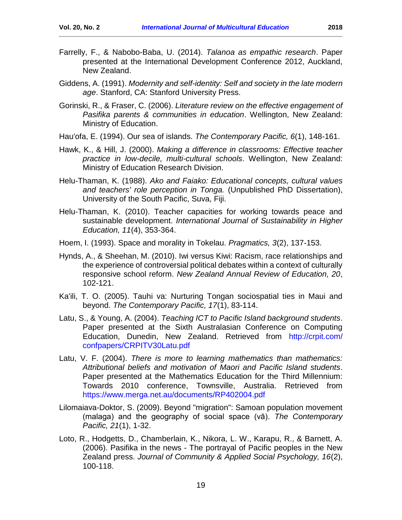- Farrelly, F., & Nabobo-Baba, U. (2014). *Talanoa as empathic research*. Paper presented at the International Development Conference 2012, Auckland, New Zealand.
- Giddens, A. (1991). *Modernity and self-identity: Self and society in the late modern age*. Stanford, CA: Stanford University Press.
- Gorinski, R., & Fraser, C. (2006). *Literature review on the effective engagement of Pasifika parents & communities in education*. Wellington, New Zealand: Ministry of Education.
- Hau'ofa, E. (1994). Our sea of islands. *The Contemporary Pacific, 6*(1), 148-161.
- Hawk, K., & Hill, J. (2000). *Making a difference in classrooms: Effective teacher practice in low-decile, multi-cultural schools*. Wellington, New Zealand: Ministry of Education Research Division.
- Helu-Thaman, K. (1988). *Ako and Faiako: Educational concepts, cultural values and teachers' role perception in Tonga.* (Unpublished PhD Dissertation), University of the South Pacific, Suva, Fiji.
- Helu-Thaman, K. (2010). Teacher capacities for working towards peace and sustainable development. *International Journal of Sustainability in Higher Education, 11*(4), 353-364.
- Hoem, I. (1993). Space and morality in Tokelau. *Pragmatics, 3*(2), 137-153.
- Hynds, A., & Sheehan, M. (2010). Iwi versus Kiwi: Racism, race relationships and the experience of controversial political debates within a context of culturally responsive school reform. *New Zealand Annual Review of Education, 20*, 102-121.
- Ka'ili, T. O. (2005). Tauhi va: Nurturing Tongan sociospatial ties in Maui and beyond. *The Contemporary Pacific, 17*(1), 83-114.
- Latu, S., & Young, A. (2004). *Teaching ICT to Pacific Island background students*. Paper presented at the Sixth Australasian Conference on Computing Education, Dunedin, New Zealand. Retrieved from [http://crpit.com/](http://crpit.com/%20confpapers/CRPITV30Latu.pdf) [confpapers/CRPITV30Latu.pdf](http://crpit.com/%20confpapers/CRPITV30Latu.pdf)
- Latu, V. F. (2004). *There is more to learning mathematics than mathematics: Attributional beliefs and motivation of Maori and Pacific Island students*. Paper presented at the Mathematics Education for the Third Millennium: Towards 2010 conference, Townsville, Australia. Retrieved from <https://www.merga.net.au/documents/RP402004.pdf>
- Lilomaiava-Doktor, S. (2009). Beyond "migration": Samoan population movement (malaga) and the geography of social space (vā). *The Contemporary Pacific, 21*(1), 1-32.
- Loto, R., Hodgetts, D., Chamberlain, K., Nikora, L. W., Karapu, R., & Barnett, A. (2006). Pasifika in the news - The portrayal of Pacific peoples in the New Zealand press. *Journal of Community & Applied Social Psychology, 16*(2), 100-118.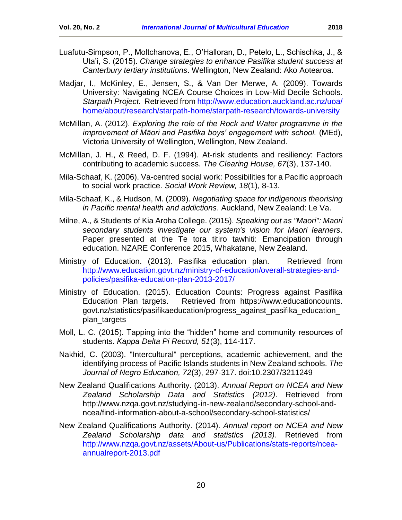- Luafutu-Simpson, P., Moltchanova, E., O'Halloran, D., Petelo, L., Schischka, J., & Uta'i, S. (2015). *Change strategies to enhance Pasifika student success at Canterbury tertiary institutions*. Wellington, New Zealand: Ako Aotearoa.
- Madjar, I., McKinley, E., Jensen, S., & Van Der Merwe, A. (2009). Towards University: Navigating NCEA Course Choices in Low-Mid Decile Schools. *Starpath Project.* Retrieved from [http://www.education.auckland.ac.nz/uoa/](http://www.education.auckland.ac.nz/uoa/home/about/research/starpath-home/starpath-research/towards-university)  [home/about/research/starpath-home/starpath-research/towards-university](http://www.education.auckland.ac.nz/uoa/home/about/research/starpath-home/starpath-research/towards-university)
- McMillan, A. (2012). *Exploring the role of the Rock and Water programme in the improvement of Māori and Pasifika boys' engagement with school.* (MEd), Victoria University of Wellington, Wellington, New Zealand.
- McMillan, J. H., & Reed, D. F. (1994). At-risk students and resiliency: Factors contributing to academic success. *The Clearing House, 67*(3), 137-140.
- Mila-Schaaf, K. (2006). Va-centred social work: Possibilities for a Pacific approach to social work practice. *Social Work Review, 18*(1), 8-13.
- Mila-Schaaf, K., & Hudson, M. (2009). *Negotiating space for indigenous theorising in Pacific mental health and addictions*. Auckland, New Zealand: Le Va.
- Milne, A., & Students of Kia Aroha College. (2015). *Speaking out as "Maori": Maori secondary students investigate our system's vision for Maori learners*. Paper presented at the Te tora titiro tawhiti: Emancipation through education. NZARE Conference 2015, Whakatane, New Zealand.
- Ministry of Education. (2013). Pasifika education plan. Retrieved from [http://www.education.govt.nz/ministry-of-education/overall-strategies-and](http://www.education.govt.nz/ministry-of-education/overall-strategies-and-policies/pasifika-education-plan-2013-2017/)[policies/pasifika-education-plan-2013-2017/](http://www.education.govt.nz/ministry-of-education/overall-strategies-and-policies/pasifika-education-plan-2013-2017/)
- Ministry of Education. (2015). Education Counts: Progress against Pasifika Education Plan targets. Retrieved from https://www.educationcounts. govt.nz/statistics/pasifikaeducation/progress\_against\_pasifika\_education\_ plan\_targets
- Moll, L. C. (2015). Tapping into the "hidden" home and community resources of students. *Kappa Delta Pi Record, 51*(3), 114-117.
- Nakhid, C. (2003). "Intercultural" perceptions, academic achievement, and the identifying process of Pacific Islands students in New Zealand schools. *The Journal of Negro Education, 72*(3), 297-317. doi:10.2307/3211249
- New Zealand Qualifications Authority. (2013). *Annual Report on NCEA and New Zealand Scholarship Data and Statistics (2012)*. Retrieved from http://www.nzqa.govt.nz/studying-in-new-zealand/secondary-school-andncea/find-information-about-a-school/secondary-school-statistics/
- New Zealand Qualifications Authority. (2014). *Annual report on NCEA and New Zealand Scholarship data and statistics (2013)*. Retrieved from [http://www.nzqa.govt.nz/assets/About-us/Publications/stats-reports/ncea](http://www.nzqa.govt.nz/assets/About-us/Publications/stats-reports/ncea-annualreport-2013.pdf)[annualreport-2013.pdf](http://www.nzqa.govt.nz/assets/About-us/Publications/stats-reports/ncea-annualreport-2013.pdf)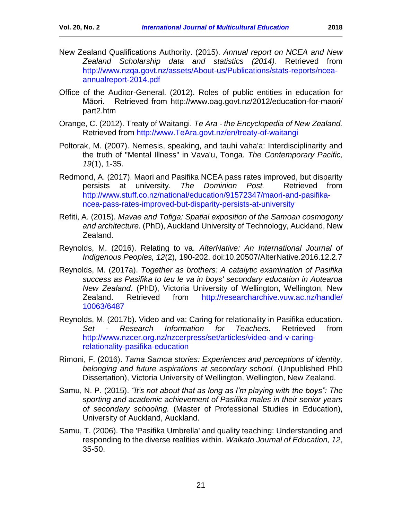- New Zealand Qualifications Authority. (2015). *Annual report on NCEA and New Zealand Scholarship data and statistics (2014)*. Retrieved from [http://www.nzqa.govt.nz/assets/About-us/Publications/stats-reports/ncea](http://www.nzqa.govt.nz/assets/About-us/Publications/stats-reports/ncea-annualreport-2014.pdf)[annualreport-2014.pdf](http://www.nzqa.govt.nz/assets/About-us/Publications/stats-reports/ncea-annualreport-2014.pdf)
- Office of the Auditor-General. (2012). Roles of public entities in education for Māori. Retrieved from http://www.oag.govt.nz/2012/education-for-maori/ part2.htm
- Orange, C. (2012). Treaty of Waitangi. *Te Ara - the Encyclopedia of New Zealand.* Retrieved from [http://www.TeAra.govt.nz/en/treaty-of-waitangi](http://www.teara.govt.nz/en/treaty-of-waitangi)
- Poltorak, M. (2007). Nemesis, speaking, and tauhi vaha'a: Interdisciplinarity and the truth of "Mental Illness" in Vava'u, Tonga. *The Contemporary Pacific, 19*(1), 1-35.
- Redmond, A. (2017). Maori and Pasifika NCEA pass rates improved, but disparity persists at university. *The Dominion Post.* Retrieved from [http://www.stuff.co.nz/national/education/91572347/maori-and-pasifika](http://www.stuff.co.nz/national/education/91572347/maori-and-pasifika-ncea-pass-rates-improved-but-disparity-persists-at-university)[ncea-pass-rates-improved-but-disparity-persists-at-university](http://www.stuff.co.nz/national/education/91572347/maori-and-pasifika-ncea-pass-rates-improved-but-disparity-persists-at-university)
- Refiti, A. (2015). *Mavae and Tofiga: Spatial exposition of the Samoan cosmogony and architecture.* (PhD), Auckland University of Technology, Auckland, New Zealand.
- Reynolds, M. (2016). Relating to va. *AlterNative: An International Journal of Indigenous Peoples, 12*(2), 190-202. doi:10.20507/AlterNative.2016.12.2.7
- Reynolds, M. (2017a). *Together as brothers: A catalytic examination of Pasifika success as Pasifika to teu le va in boys' secondary education in Aotearoa New Zealand.* (PhD), Victoria University of Wellington, Wellington, New Zealand. Retrieved from [http://researcharchive.vuw.ac.nz/handle/](http://researcharchive.vuw.ac.nz/handle/%2010063/6487) [10063/6487](http://researcharchive.vuw.ac.nz/handle/%2010063/6487)
- Reynolds, M. (2017b). Video and va: Caring for relationality in Pasifika education. *Set - Research Information for Teachers*. Retrieved from [http://www.nzcer.org.nz/nzcerpress/set/articles/video-and-v-caring](http://www.nzcer.org.nz/nzcerpress/set/articles/video-and-v-caring-relationality-pasifika-education)[relationality-pasifika-education](http://www.nzcer.org.nz/nzcerpress/set/articles/video-and-v-caring-relationality-pasifika-education)
- Rimoni, F. (2016). *Tama Samoa stories: Experiences and perceptions of identity, belonging and future aspirations at secondary school.* (Unpublished PhD Dissertation), Victoria University of Wellington, Wellington, New Zealand.
- Samu, N. P. (2015). *"It's not about that as long as I'm playing with the boys": The sporting and academic achievement of Pasifika males in their senior years of secondary schooling.* (Master of Professional Studies in Education), University of Auckland, Auckland.
- Samu, T. (2006). The 'Pasifika Umbrella' and quality teaching: Understanding and responding to the diverse realities within. *Waikato Journal of Education, 12*, 35-50.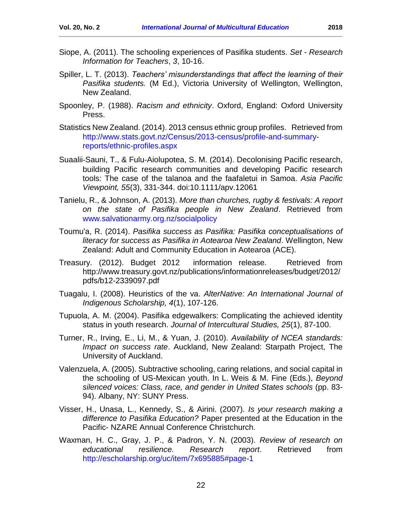- Siope, A. (2011). The schooling experiences of Pasifika students. *Set - Research Information for Teachers*, *3*, 10-16.
- Spiller, L. T. (2013). *Teachers' misunderstandings that affect the learning of their Pasifika students.* (M Ed.), Victoria University of Wellington, Wellington, New Zealand.
- Spoonley, P. (1988). *Racism and ethnicity*. Oxford, England: Oxford University Press.
- Statistics New Zealand. (2014). 2013 census ethnic group profiles. Retrieved from [http://www.stats.govt.nz/Census/2013-census/profile-and-summary](http://www.stats.govt.nz/Census/2013-census/profile-and-summary-reports/ethnic-profiles.aspx)[reports/ethnic-profiles.aspx](http://www.stats.govt.nz/Census/2013-census/profile-and-summary-reports/ethnic-profiles.aspx)
- Suaalii‐Sauni, T., & Fulu‐Aiolupotea, S. M. (2014). Decolonising Pacific research, building Pacific research communities and developing Pacific research tools: The case of the talanoa and the faafaletui in Samoa. *Asia Pacific Viewpoint, 55*(3), 331-344. doi:10.1111/apv.12061
- Tanielu, R., & Johnson, A. (2013). *More than churches, rugby & festivals: A report on the state of Pasifika people in New Zealand*. Retrieved from [www.salvationarmy.org.nz/socialpolicy](http://www.salvationarmy.org.nz/socialpolicy)
- Toumu'a, R. (2014). *Pasifika success as Pasifika: Pasifika conceptualisations of literacy for success as Pasifika in Aotearoa New Zealand*. Wellington, New Zealand: Adult and Community Education in Aotearoa (ACE).
- Treasury. (2012). Budget 2012 information release. Retrieved from http://www.treasury.govt.nz/publications/informationreleases/budget/2012/ pdfs/b12-2339097.pdf
- Tuagalu, I. (2008). Heuristics of the va. *AlterNative: An International Journal of Indigenous Scholarship, 4*(1), 107-126.
- Tupuola, A. M. (2004). Pasifika edgewalkers: Complicating the achieved identity status in youth research. *Journal of Intercultural Studies, 25*(1), 87-100.
- Turner, R., Irving, E., Li, M., & Yuan, J. (2010). *Availability of NCEA standards: Impact on success rate*. Auckland, New Zealand: Starpath Project, The University of Auckland.
- Valenzuela, A. (2005). Subtractive schooling, caring relations, and social capital in the schooling of US-Mexican youth. In L. Weis & M. Fine (Eds.), *Beyond silenced voices: Class, race, and gender in United States schools* (pp. 83- 94). Albany, NY: SUNY Press.
- Visser, H., Unasa, L., Kennedy, S., & Airini. (2007). *Is your research making a difference to Pasifika Education?* Paper presented at the Education in the Pacific- NZARE Annual Conference Christchurch.
- Waxman, H. C., Gray, J. P., & Padron, Y. N. (2003). *Review of research on educational resilience. Research report*. Retrieved from [http://escholarship.org/uc/item/7x695885#page-1](http://escholarship.org/uc/item/7x695885%23page-1)